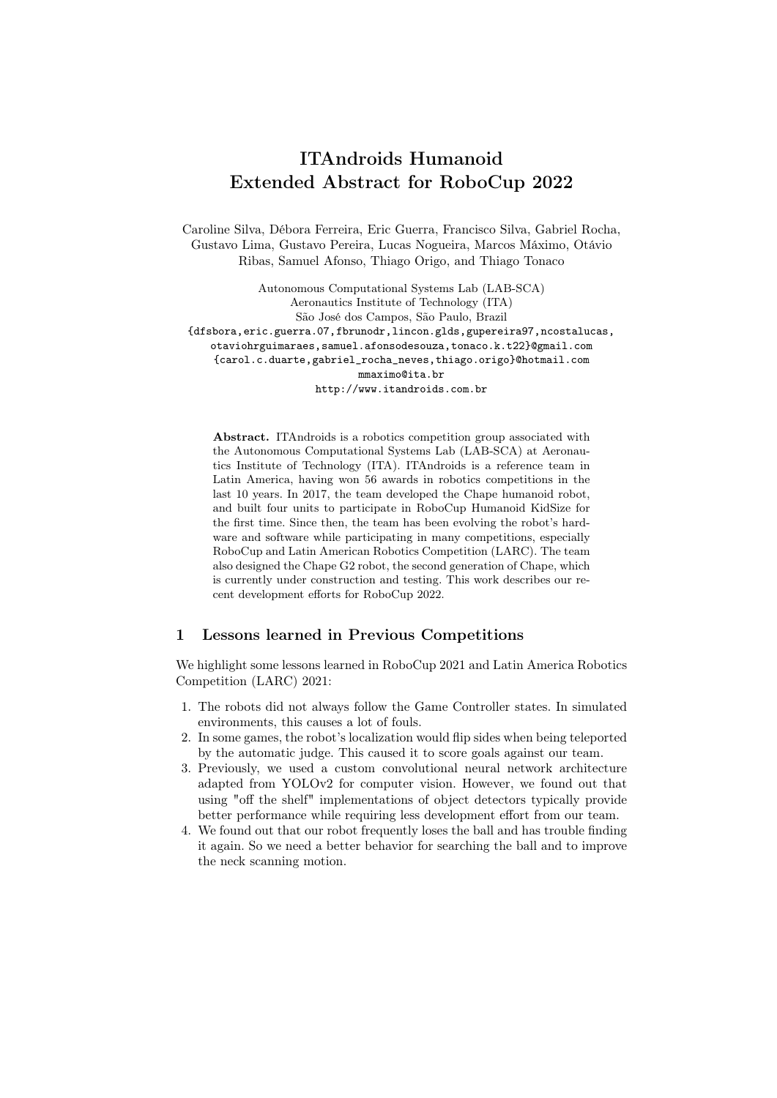# ITAndroids Humanoid Extended Abstract for RoboCup 2022

Caroline Silva, Débora Ferreira, Eric Guerra, Francisco Silva, Gabriel Rocha, Gustavo Lima, Gustavo Pereira, Lucas Nogueira, Marcos Máximo, Otávio Ribas, Samuel Afonso, Thiago Origo, and Thiago Tonaco

Autonomous Computational Systems Lab (LAB-SCA) Aeronautics Institute of Technology (ITA) São José dos Campos, São Paulo, Brazil {dfsbora,eric.guerra.07,fbrunodr,lincon.glds,gupereira97,ncostalucas, otaviohrguimaraes,samuel.afonsodesouza,tonaco.k.t22}@gmail.com {carol.c.duarte,gabriel\_rocha\_neves,thiago.origo}@hotmail.com mmaximo@ita.br http://www.itandroids.com.br

Abstract. ITAndroids is a robotics competition group associated with the Autonomous Computational Systems Lab (LAB-SCA) at Aeronautics Institute of Technology (ITA). ITAndroids is a reference team in Latin America, having won 56 awards in robotics competitions in the last 10 years. In 2017, the team developed the Chape humanoid robot, and built four units to participate in RoboCup Humanoid KidSize for the first time. Since then, the team has been evolving the robot's hardware and software while participating in many competitions, especially RoboCup and Latin American Robotics Competition (LARC). The team also designed the Chape G2 robot, the second generation of Chape, which is currently under construction and testing. This work describes our recent development efforts for RoboCup 2022.

### 1 Lessons learned in Previous Competitions

We highlight some lessons learned in RoboCup 2021 and Latin America Robotics Competition (LARC) 2021:

- 1. The robots did not always follow the Game Controller states. In simulated environments, this causes a lot of fouls.
- 2. In some games, the robot's localization would flip sides when being teleported by the automatic judge. This caused it to score goals against our team.
- 3. Previously, we used a custom convolutional neural network architecture adapted from YOLOv2 for computer vision. However, we found out that using "off the shelf" implementations of object detectors typically provide better performance while requiring less development effort from our team.
- 4. We found out that our robot frequently loses the ball and has trouble finding it again. So we need a better behavior for searching the ball and to improve the neck scanning motion.